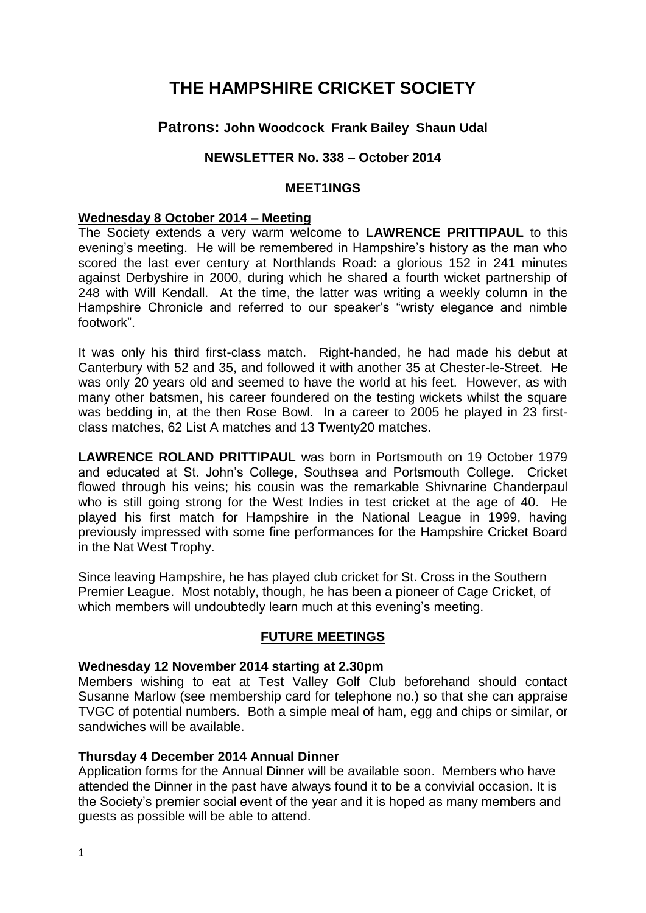# **THE HAMPSHIRE CRICKET SOCIETY**

## **Patrons: John Woodcock Frank Bailey Shaun Udal**

### **NEWSLETTER No. 338 – October 2014**

#### **MEET1INGS**

#### **Wednesday 8 October 2014 – Meeting**

The Society extends a very warm welcome to **LAWRENCE PRITTIPAUL** to this evening's meeting. He will be remembered in Hampshire's history as the man who scored the last ever century at Northlands Road: a glorious 152 in 241 minutes against Derbyshire in 2000, during which he shared a fourth wicket partnership of 248 with Will Kendall. At the time, the latter was writing a weekly column in the Hampshire Chronicle and referred to our speaker's "wristy elegance and nimble footwork".

It was only his third first-class match. Right-handed, he had made his debut at Canterbury with 52 and 35, and followed it with another 35 at Chester-le-Street. He was only 20 years old and seemed to have the world at his feet. However, as with many other batsmen, his career foundered on the testing wickets whilst the square was bedding in, at the then Rose Bowl. In a career to 2005 he played in 23 firstclass matches, 62 List A matches and 13 Twenty20 matches.

**LAWRENCE ROLAND PRITTIPAUL** was born in Portsmouth on 19 October 1979 and educated at St. John's College, Southsea and Portsmouth College. Cricket flowed through his veins; his cousin was the remarkable Shivnarine Chanderpaul who is still going strong for the West Indies in test cricket at the age of 40. He played his first match for Hampshire in the National League in 1999, having previously impressed with some fine performances for the Hampshire Cricket Board in the Nat West Trophy.

Since leaving Hampshire, he has played club cricket for St. Cross in the Southern Premier League. Most notably, though, he has been a pioneer of Cage Cricket, of which members will undoubtedly learn much at this evening's meeting.

#### **FUTURE MEETINGS**

#### **Wednesday 12 November 2014 starting at 2.30pm**

Members wishing to eat at Test Valley Golf Club beforehand should contact Susanne Marlow (see membership card for telephone no.) so that she can appraise TVGC of potential numbers. Both a simple meal of ham, egg and chips or similar, or sandwiches will be available.

#### **Thursday 4 December 2014 Annual Dinner**

Application forms for the Annual Dinner will be available soon. Members who have attended the Dinner in the past have always found it to be a convivial occasion. It is the Society's premier social event of the year and it is hoped as many members and guests as possible will be able to attend.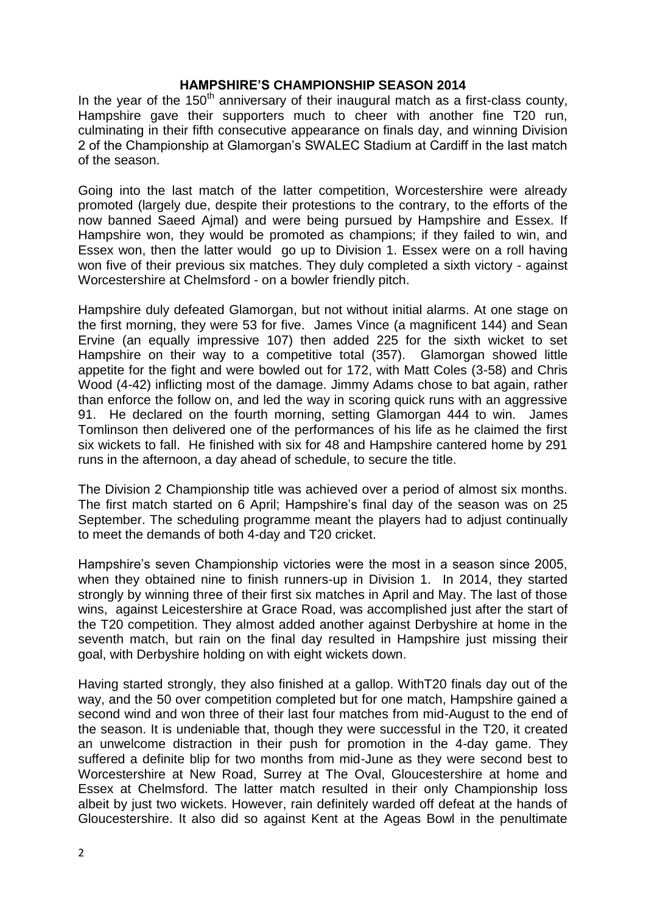#### **HAMPSHIRE'S CHAMPIONSHIP SEASON 2014**

In the year of the  $150<sup>th</sup>$  anniversary of their inaugural match as a first-class county, Hampshire gave their supporters much to cheer with another fine T20 run, culminating in their fifth consecutive appearance on finals day, and winning Division 2 of the Championship at Glamorgan's SWALEC Stadium at Cardiff in the last match of the season.

Going into the last match of the latter competition, Worcestershire were already promoted (largely due, despite their protestions to the contrary, to the efforts of the now banned Saeed Ajmal) and were being pursued by Hampshire and Essex. If Hampshire won, they would be promoted as champions; if they failed to win, and Essex won, then the latter would go up to Division 1. Essex were on a roll having won five of their previous six matches. They duly completed a sixth victory - against Worcestershire at Chelmsford - on a bowler friendly pitch.

Hampshire duly defeated Glamorgan, but not without initial alarms. At one stage on the first morning, they were 53 for five. James Vince (a magnificent 144) and Sean Ervine (an equally impressive 107) then added 225 for the sixth wicket to set Hampshire on their way to a competitive total (357). Glamorgan showed little appetite for the fight and were bowled out for 172, with Matt Coles (3-58) and Chris Wood (4-42) inflicting most of the damage. Jimmy Adams chose to bat again, rather than enforce the follow on, and led the way in scoring quick runs with an aggressive 91. He declared on the fourth morning, setting Glamorgan 444 to win. James Tomlinson then delivered one of the performances of his life as he claimed the first six wickets to fall. He finished with six for 48 and Hampshire cantered home by 291 runs in the afternoon, a day ahead of schedule, to secure the title.

The Division 2 Championship title was achieved over a period of almost six months. The first match started on 6 April; Hampshire's final day of the season was on 25 September. The scheduling programme meant the players had to adjust continually to meet the demands of both 4-day and T20 cricket.

Hampshire's seven Championship victories were the most in a season since 2005, when they obtained nine to finish runners-up in Division 1. In 2014, they started strongly by winning three of their first six matches in April and May. The last of those wins, against Leicestershire at Grace Road, was accomplished just after the start of the T20 competition. They almost added another against Derbyshire at home in the seventh match, but rain on the final day resulted in Hampshire just missing their goal, with Derbyshire holding on with eight wickets down.

Having started strongly, they also finished at a gallop. WithT20 finals day out of the way, and the 50 over competition completed but for one match, Hampshire gained a second wind and won three of their last four matches from mid-August to the end of the season. It is undeniable that, though they were successful in the T20, it created an unwelcome distraction in their push for promotion in the 4-day game. They suffered a definite blip for two months from mid-June as they were second best to Worcestershire at New Road, Surrey at The Oval, Gloucestershire at home and Essex at Chelmsford. The latter match resulted in their only Championship loss albeit by just two wickets. However, rain definitely warded off defeat at the hands of Gloucestershire. It also did so against Kent at the Ageas Bowl in the penultimate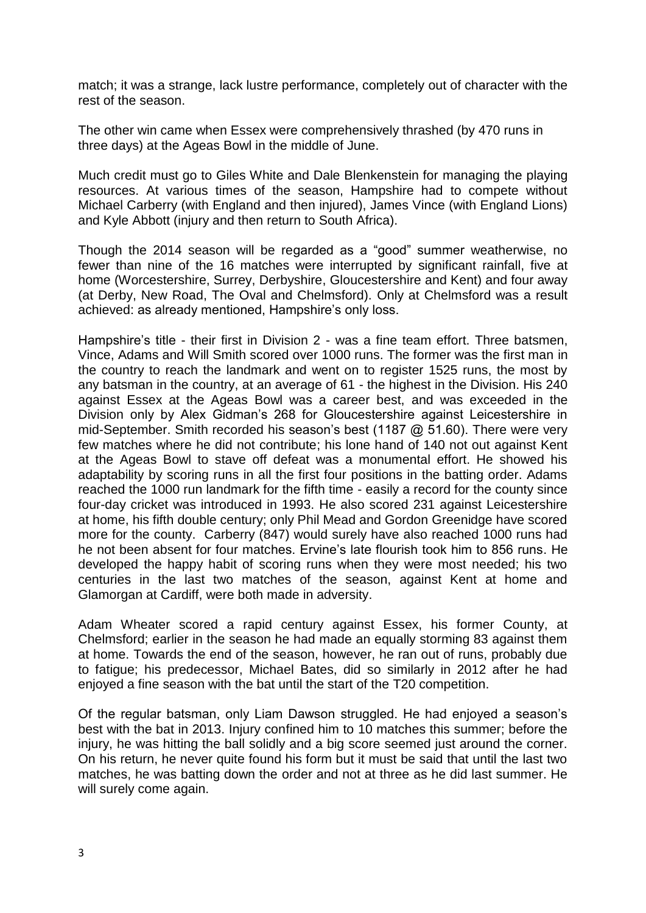match; it was a strange, lack lustre performance, completely out of character with the rest of the season.

The other win came when Essex were comprehensively thrashed (by 470 runs in three days) at the Ageas Bowl in the middle of June.

Much credit must go to Giles White and Dale Blenkenstein for managing the playing resources. At various times of the season, Hampshire had to compete without Michael Carberry (with England and then injured), James Vince (with England Lions) and Kyle Abbott (injury and then return to South Africa).

Though the 2014 season will be regarded as a "good" summer weatherwise, no fewer than nine of the 16 matches were interrupted by significant rainfall, five at home (Worcestershire, Surrey, Derbyshire, Gloucestershire and Kent) and four away (at Derby, New Road, The Oval and Chelmsford). Only at Chelmsford was a result achieved: as already mentioned, Hampshire's only loss.

Hampshire's title - their first in Division 2 - was a fine team effort. Three batsmen, Vince, Adams and Will Smith scored over 1000 runs. The former was the first man in the country to reach the landmark and went on to register 1525 runs, the most by any batsman in the country, at an average of 61 - the highest in the Division. His 240 against Essex at the Ageas Bowl was a career best, and was exceeded in the Division only by Alex Gidman's 268 for Gloucestershire against Leicestershire in mid-September. Smith recorded his season's best (1187 @ 51.60). There were very few matches where he did not contribute; his lone hand of 140 not out against Kent at the Ageas Bowl to stave off defeat was a monumental effort. He showed his adaptability by scoring runs in all the first four positions in the batting order. Adams reached the 1000 run landmark for the fifth time - easily a record for the county since four-day cricket was introduced in 1993. He also scored 231 against Leicestershire at home, his fifth double century; only Phil Mead and Gordon Greenidge have scored more for the county. Carberry (847) would surely have also reached 1000 runs had he not been absent for four matches. Ervine's late flourish took him to 856 runs. He developed the happy habit of scoring runs when they were most needed; his two centuries in the last two matches of the season, against Kent at home and Glamorgan at Cardiff, were both made in adversity.

Adam Wheater scored a rapid century against Essex, his former County, at Chelmsford; earlier in the season he had made an equally storming 83 against them at home. Towards the end of the season, however, he ran out of runs, probably due to fatigue; his predecessor, Michael Bates, did so similarly in 2012 after he had enjoyed a fine season with the bat until the start of the T20 competition.

Of the regular batsman, only Liam Dawson struggled. He had enjoyed a season's best with the bat in 2013. Injury confined him to 10 matches this summer; before the injury, he was hitting the ball solidly and a big score seemed just around the corner. On his return, he never quite found his form but it must be said that until the last two matches, he was batting down the order and not at three as he did last summer. He will surely come again.